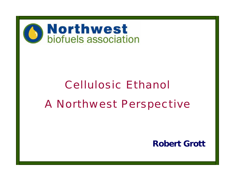

# Cellulosic Ethanol A Northwest Perspective

**Robert Grott**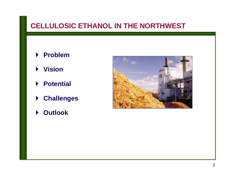# **CELLULOSIC ETHANOL IN THE NORTHWEST**

- ` **Problem**
- ` **Vision**
- ` **Potential**
- ` **Challenges**
- ` **Outlook**

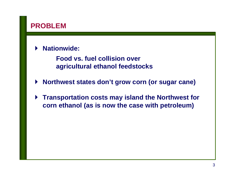# **PROBLEM**

#### $\blacktriangleright$ **Nationwide:**

**Food vs. fuel collision over agricultural ethanol feedstocks**

- $\blacktriangleright$ **Northwest states don't grow corn (or sugar cane)**
- $\blacktriangleright$  **Transportation costs may island the Northwest for corn ethanol (as is now the case with petroleum)**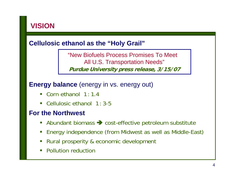# **VISION**

### **Cellulosic ethanol as the "Holy Grail"**

"New Biofuels Process Promises To Meet All U.S. Transportation Needs" **Purdue University press release, 3/15/07**

#### **Energy balance** (energy in vs. energy out)

- $\Box$ Corn ethanol 1:1.4
- Cellulosic ethanol 1:3-5

#### **For the Northwest**

- Abundant biomass  $\rightarrow$  cost-effective petroleum substitute
- $\overline{\mathbb{R}}$ Energy independence (from Midwest as well as Middle-East)
- $\mathbb{R}^2$ Rural prosperity & economic development
- $\overline{\mathcal{L}}$ Pollution reduction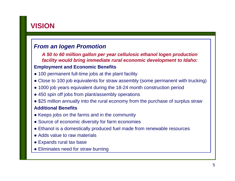# **VISION**

#### *From an Iogen Promotion*

*A 50 to 60 million gallon per year cellulosic ethanol Iogen production facility would bring immediate rural economic development to Idaho:* **Employment and Economic Benefits**

- 100 permanent full-time jobs at the plant facility
- Close to 100 job equivalents for straw assembly (some permanent with trucking)
- 1000 job years equivalent during the 18-24 month construction period
- 450 spin off jobs from plant/assembly operations
- \$25 million annually into the rural economy from the purchase of surplus straw

#### **Additional Benefits**

- Keeps jobs on the farms and in the community
- Source of economic diversity for farm economies
- Ethanol is a domestically produced fuel made from renewable resources
- Adds value to raw materials
- Expands rural tax base
- Eliminates need for straw burning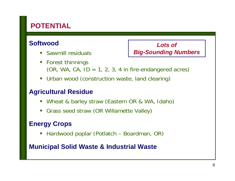# **POTENTIAL**

# **Softwood**

**Sawmill residuals** 

*Lots of Big-Sounding Numbers*

- **Forest thinnings**  $(OR, WA, CA, ID = 1, 2, 3, 4 in fire-endanged acres)$
- $\mathbb{R}^2$ Urban wood (construction waste, land clearing)

# **Agricultural Residue**

- p. Wheat & barley straw (Eastern OR & WA, Idaho)
- $\Box$ Grass seed straw (OR Willamette Valley)

# **Energy Crops**

h. Hardwood poplar (Potlatch – Boardman, OR)

#### **Municipal Solid Waste & Industrial Waste**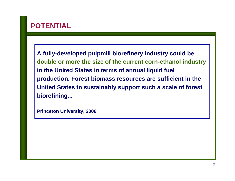# **POTENTIAL**

**A fully-developed pulpmill biorefinery industry could be double or more the size of the current corn-ethanol industry in the United States in terms of annual liquid fuel production. Forest biomass resources are sufficient in the United States to sustainably support such a scale of forest biorefining...**

**Princeton University, 2006**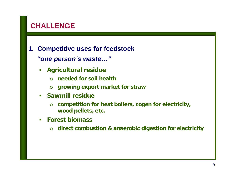# **CHALLENGE**

**1. Competitive uses for feedstock** *"one person's waste…"*

- $\Box$  **Agricultural residue**
	- o**needed for soil health**
	- o**growing export market for straw**
- $\overline{\phantom{a}}$  **Sawmill residue** 
	- o **competition for heat boilers, cogen for electricity, wood pellets, etc.**
- $\Box$  **Forest biomass** 
	- o**direct combustion & anaerobic digestion for electricity**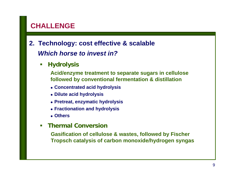# **CHALLENGE**

# **2. Technology: cost effective & scalable** *Which horse to invest in?*

 $\mathcal{L}_{\mathcal{A}}$ **Hydrolysis**

> **Acid/enzyme treatment to separate sugars in cellulose followed by conventional fermentation & distillation**

- z **Concentrated acid hydrolysis**
- z **Dilute acid hydrolysis**
- z **Pretreat, enzymatic hydrolysis**
- **Fractionation and hydrolysis**
- z **Others**
- $\overline{\phantom{a}}$ **Thermal Conversion**

**Gasification of cellulose & wastes, followed by Fischer Tropsch catalysis of carbon monoxide/hydrogen syngas**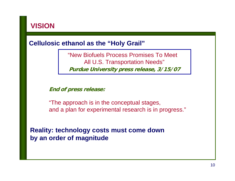

#### **Cellulosic ethanol as the "Holy Grail"**

"New Biofuels Process Promises To Meet All U.S. Transportation Needs" **Purdue University press release, 3/15/07**

**End of press release:**

"The approach is in the conceptual stages, and a plan for experimental research is in progress."

**Reality: technology costs must come down by an order of magnitude**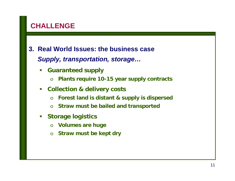# **CHALLENGE**

- **3. Real World Issues: the business case***Supply, transportation, storage…*
	- $\mathbb{R}^3$  **Guaranteed supply** 
		- o**Plants require 10-15 year supply contracts**
	- $\mathcal{L}_{\mathcal{A}}$  **Collection & delivery costs** 
		- o**Forest land is distant & supply is dispersed**
		- o**Straw must be bailed and transported**
	- $\mathcal{L}_{\mathcal{A}}$  **Storage logistics** 
		- o**Volumes are huge**
		- $\Omega$ **Straw must be kept dry**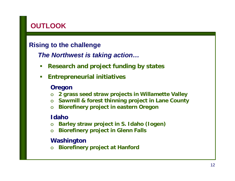# **OUTLOOK**

### **Rising to the challenge**

## *The Northwest is taking action…*

- $\mathcal{L}_{\mathcal{A}}$ **Research and project funding by states**
- $\Box$ **Entrepreneurial initiatives**

#### **Oregon**

- o**2 grass seed straw projects in Willamette Valley**
- o**Sawmill & forest thinning project in Lane County**
- o**Biorefinery project in eastern Oregon**

#### **Idaho**

- o**Barley straw project in S. Idaho (Iogen)**
- o**Biorefinery project in Glenn Falls**

#### **Washington**

o**Biorefinery project at Hanford**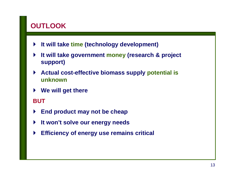# **OUTLOOK**

- $\blacktriangleright$ **It will take time (technology development)**
- $\blacktriangleright$  **It will take government money (research & project support)**
- $\blacktriangleright$  **Actual cost-effective biomass supply potential is unknown**
- $\blacktriangleright$ **We will get there**

#### **BUT**

- $\blacktriangleright$ **End product may not be cheap**
- $\blacktriangleright$ **It won't solve our energy needs**
- $\blacktriangleright$ **Efficiency of energy use remains critical**